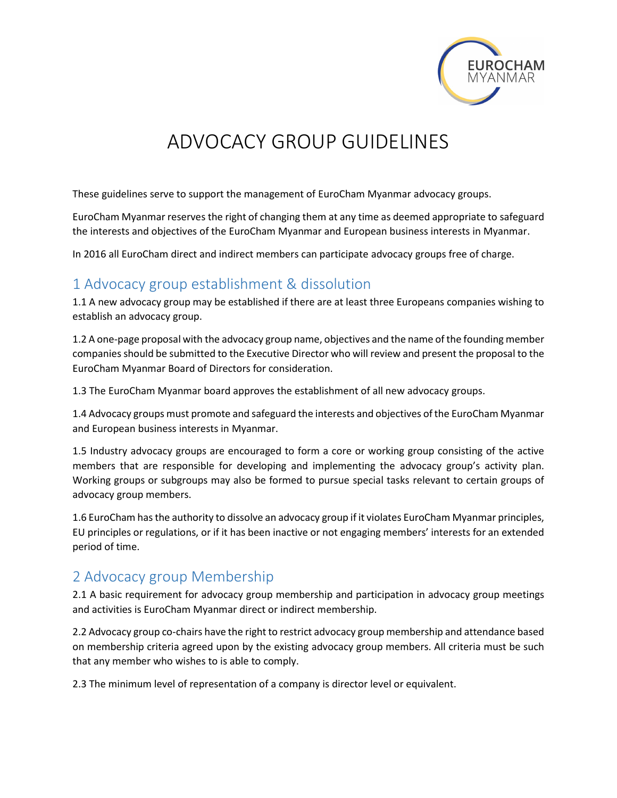

# ADVOCACY GROUP GUIDELINES

These guidelines serve to support the management of EuroCham Myanmar advocacy groups.

EuroCham Myanmar reserves the right of changing them at any time as deemed appropriate to safeguard the interests and objectives of the EuroCham Myanmar and European business interests in Myanmar.

In 2016 all EuroCham direct and indirect members can participate advocacy groups free of charge.

#### 1 Advocacy group establishment & dissolution

1.1 A new advocacy group may be established if there are at least three Europeans companies wishing to establish an advocacy group.

1.2 A one-page proposal with the advocacy group name, objectives and the name of the founding member companies should be submitted to the Executive Director who will review and present the proposal to the EuroCham Myanmar Board of Directors for consideration.

1.3 The EuroCham Myanmar board approves the establishment of all new advocacy groups.

1.4 Advocacy groups must promote and safeguard the interests and objectives of the EuroCham Myanmar and European business interests in Myanmar.

1.5 Industry advocacy groups are encouraged to form a core or working group consisting of the active members that are responsible for developing and implementing the advocacy group's activity plan. Working groups or subgroups may also be formed to pursue special tasks relevant to certain groups of advocacy group members.

1.6 EuroCham has the authority to dissolve an advocacy group if it violates EuroCham Myanmar principles, EU principles or regulations, or if it has been inactive or not engaging members' interests for an extended period of time.

### 2 Advocacy group Membership

2.1 A basic requirement for advocacy group membership and participation in advocacy group meetings and activities is EuroCham Myanmar direct or indirect membership.

2.2 Advocacy group co-chairs have the right to restrict advocacy group membership and attendance based on membership criteria agreed upon by the existing advocacy group members. All criteria must be such that any member who wishes to is able to comply.

2.3 The minimum level of representation of a company is director level or equivalent.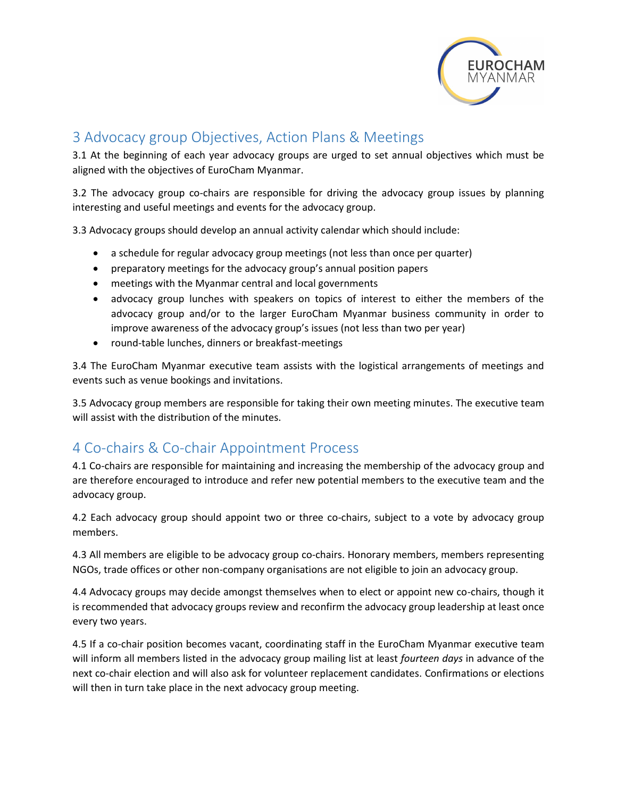

## 3 Advocacy group Objectives, Action Plans & Meetings

3.1 At the beginning of each year advocacy groups are urged to set annual objectives which must be aligned with the objectives of EuroCham Myanmar.

3.2 The advocacy group co-chairs are responsible for driving the advocacy group issues by planning interesting and useful meetings and events for the advocacy group.

3.3 Advocacy groups should develop an annual activity calendar which should include:

- a schedule for regular advocacy group meetings (not less than once per quarter)
- preparatory meetings for the advocacy group's annual position papers
- meetings with the Myanmar central and local governments
- advocacy group lunches with speakers on topics of interest to either the members of the advocacy group and/or to the larger EuroCham Myanmar business community in order to improve awareness of the advocacy group's issues (not less than two per year)
- round-table lunches, dinners or breakfast-meetings

3.4 The EuroCham Myanmar executive team assists with the logistical arrangements of meetings and events such as venue bookings and invitations.

3.5 Advocacy group members are responsible for taking their own meeting minutes. The executive team will assist with the distribution of the minutes.

### 4 Co-chairs & Co-chair Appointment Process

4.1 Co-chairs are responsible for maintaining and increasing the membership of the advocacy group and are therefore encouraged to introduce and refer new potential members to the executive team and the advocacy group.

4.2 Each advocacy group should appoint two or three co-chairs, subject to a vote by advocacy group members.

4.3 All members are eligible to be advocacy group co-chairs. Honorary members, members representing NGOs, trade offices or other non-company organisations are not eligible to join an advocacy group.

4.4 Advocacy groups may decide amongst themselves when to elect or appoint new co-chairs, though it is recommended that advocacy groups review and reconfirm the advocacy group leadership at least once every two years.

4.5 If a co-chair position becomes vacant, coordinating staff in the EuroCham Myanmar executive team will inform all members listed in the advocacy group mailing list at least *fourteen days* in advance of the next co-chair election and will also ask for volunteer replacement candidates. Confirmations or elections will then in turn take place in the next advocacy group meeting.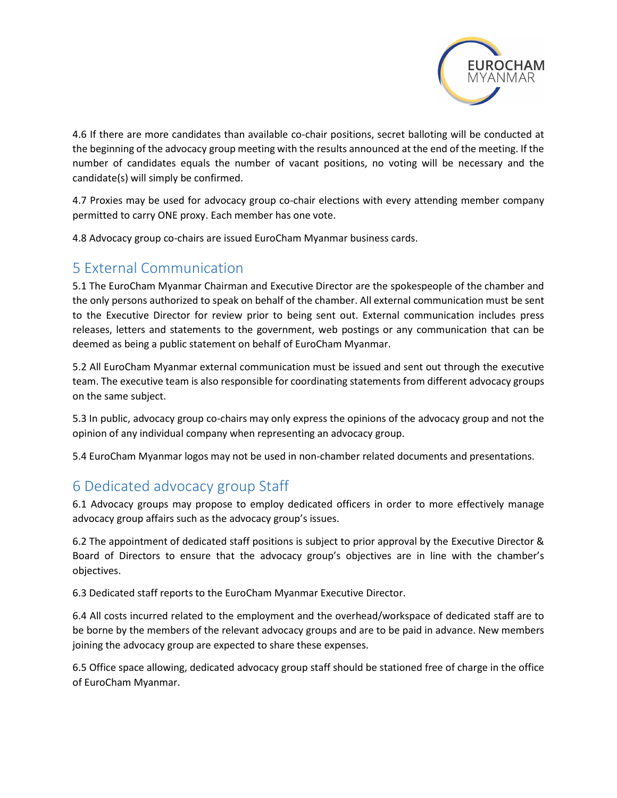

4.6 If there are more candidates than available co-chair positions, secret balloting will be conducted at the beginning of the advocacy group meeting with the results announced at the end of the meeting. If the number of candidates equals the number of vacant positions, no voting will be necessary and the candidate(s) will simply be confirmed.

4.7 Proxies may be used for advocacy group co-chair elections with every attending member company permitted to carry ONE proxy. Each member has one vote.

4.8 Advocacy group co-chairs are issued EuroCham Myanmar business cards.

#### 5 External Communication

5.1 The EuroCham Myanmar Chairman and Executive Director are the spokespeople of the chamber and the only persons authorized to speak on behalf of the chamber. All external communication must be sent to the Executive Director for review prior to being sent out. External communication includes press releases, letters and statements to the government, web postings or any communication that can be deemed as being a public statement on behalf of EuroCham Myanmar.

5.2 All EuroCham Myanmar external communication must be issued and sent out through the executive team. The executive team is also responsible for coordinating statements from different advocacy groups on the same subject.

5.3 In public, advocacy group co-chairs may only express the opinions of the advocacy group and not the opinion of any individual company when representing an advocacy group.

5.4 EuroCham Myanmar logos may not be used in non-chamber related documents and presentations.

### 6 Dedicated advocacy group Staff

6.1 Advocacy groups may propose to employ dedicated officers in order to more effectively manage advocacy group affairs such as the advocacy group's issues.

6.2 The appointment of dedicated staff positions is subject to prior approval by the Executive Director & Board of Directors to ensure that the advocacy group's objectives are in line with the chamber's objectives.

6.3 Dedicated staff reports to the EuroCham Myanmar Executive Director.

6.4 All costs incurred related to the employment and the overhead/workspace of dedicated staff are to be borne by the members of the relevant advocacy groups and are to be paid in advance. New members joining the advocacy group are expected to share these expenses.

6.5 Office space allowing, dedicated advocacy group staff should be stationed free of charge in the office of EuroCham Myanmar.